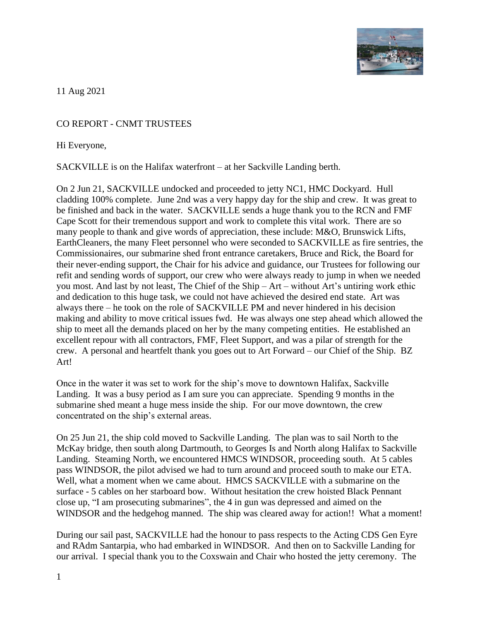

11 Aug 2021

## CO REPORT - CNMT TRUSTEES

Hi Everyone,

SACKVILLE is on the Halifax waterfront – at her Sackville Landing berth.

On 2 Jun 21, SACKVILLE undocked and proceeded to jetty NC1, HMC Dockyard. Hull cladding 100% complete. June 2nd was a very happy day for the ship and crew. It was great to be finished and back in the water. SACKVILLE sends a huge thank you to the RCN and FMF Cape Scott for their tremendous support and work to complete this vital work. There are so many people to thank and give words of appreciation, these include: M&O, Brunswick Lifts, EarthCleaners, the many Fleet personnel who were seconded to SACKVILLE as fire sentries, the Commissionaires, our submarine shed front entrance caretakers, Bruce and Rick, the Board for their never-ending support, the Chair for his advice and guidance, our Trustees for following our refit and sending words of support, our crew who were always ready to jump in when we needed you most. And last by not least, The Chief of the Ship – Art – without Art's untiring work ethic and dedication to this huge task, we could not have achieved the desired end state. Art was always there – he took on the role of SACKVILLE PM and never hindered in his decision making and ability to move critical issues fwd. He was always one step ahead which allowed the ship to meet all the demands placed on her by the many competing entities. He established an excellent repour with all contractors, FMF, Fleet Support, and was a pilar of strength for the crew. A personal and heartfelt thank you goes out to Art Forward – our Chief of the Ship. BZ Art!

Once in the water it was set to work for the ship's move to downtown Halifax, Sackville Landing. It was a busy period as I am sure you can appreciate. Spending 9 months in the submarine shed meant a huge mess inside the ship. For our move downtown, the crew concentrated on the ship's external areas.

On 25 Jun 21, the ship cold moved to Sackville Landing. The plan was to sail North to the McKay bridge, then south along Dartmouth, to Georges Is and North along Halifax to Sackville Landing. Steaming North, we encountered HMCS WINDSOR, proceeding south. At 5 cables pass WINDSOR, the pilot advised we had to turn around and proceed south to make our ETA. Well, what a moment when we came about. HMCS SACKVILLE with a submarine on the surface - 5 cables on her starboard bow. Without hesitation the crew hoisted Black Pennant close up, "I am prosecuting submarines", the 4 in gun was depressed and aimed on the WINDSOR and the hedgehog manned. The ship was cleared away for action!! What a moment!

During our sail past, SACKVILLE had the honour to pass respects to the Acting CDS Gen Eyre and RAdm Santarpia, who had embarked in WINDSOR. And then on to Sackville Landing for our arrival. I special thank you to the Coxswain and Chair who hosted the jetty ceremony. The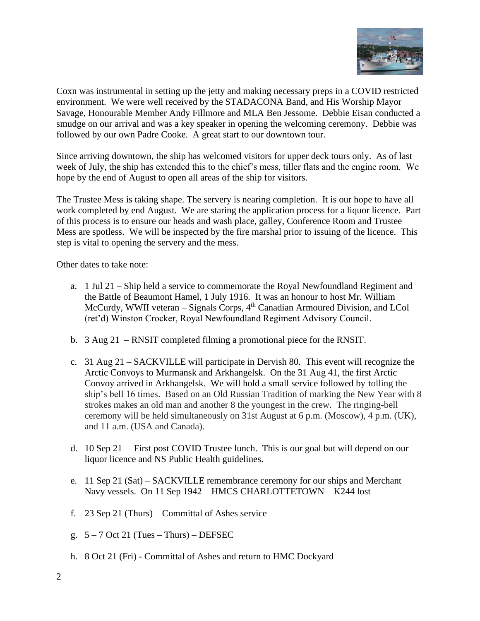

Coxn was instrumental in setting up the jetty and making necessary preps in a COVID restricted environment. We were well received by the STADACONA Band, and His Worship Mayor Savage, Honourable Member Andy Fillmore and MLA Ben Jessome. Debbie Eisan conducted a smudge on our arrival and was a key speaker in opening the welcoming ceremony. Debbie was followed by our own Padre Cooke. A great start to our downtown tour.

Since arriving downtown, the ship has welcomed visitors for upper deck tours only. As of last week of July, the ship has extended this to the chief's mess, tiller flats and the engine room. We hope by the end of August to open all areas of the ship for visitors.

The Trustee Mess is taking shape. The servery is nearing completion. It is our hope to have all work completed by end August. We are staring the application process for a liquor licence. Part of this process is to ensure our heads and wash place, galley, Conference Room and Trustee Mess are spotless. We will be inspected by the fire marshal prior to issuing of the licence. This step is vital to opening the servery and the mess.

Other dates to take note:

- a. 1 Jul 21 Ship held a service to commemorate the Royal Newfoundland Regiment and the Battle of Beaumont Hamel, 1 July 1916. It was an honour to host Mr. William McCurdy, WWII veteran – Signals Corps,  $4<sup>th</sup>$  Canadian Armoured Division, and LCol (ret'd) Winston Crocker, Royal Newfoundland Regiment Advisory Council.
- b. 3 Aug 21 RNSIT completed filming a promotional piece for the RNSIT.
- c. 31 Aug 21 SACKVILLE will participate in Dervish 80. This event will recognize the Arctic Convoys to Murmansk and Arkhangelsk. On the 31 Aug 41, the first Arctic Convoy arrived in Arkhangelsk. We will hold a small service followed by tolling the ship's bell 16 times. Based on an Old Russian Tradition of marking the New Year with 8 strokes makes an old man and another 8 the youngest in the crew. The ringing-bell ceremony will be held simultaneously on 31st August at 6 p.m. (Moscow), 4 p.m. (UK), and 11 a.m. (USA and Canada).
- d. 10 Sep 21 First post COVID Trustee lunch. This is our goal but will depend on our liquor licence and NS Public Health guidelines.
- e. 11 Sep 21 (Sat) SACKVILLE remembrance ceremony for our ships and Merchant Navy vessels. On 11 Sep 1942 – HMCS CHARLOTTETOWN – K244 lost
- f. 23 Sep 21 (Thurs) Committal of Ashes service
- g.  $5 7$  Oct 21 (Tues Thurs) DEFSEC
- h. 8 Oct 21 (Fri) Committal of Ashes and return to HMC Dockyard